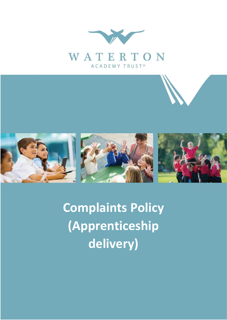



**Complaints Policy (Apprenticeship delivery)**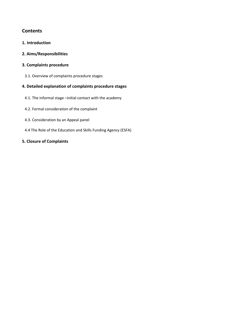# **Contents**

- **1. Introduction**
- **2. Aims/Responsibilities**
- **3. Complaints procedure** 
	- 3.1. Overview of complaints procedure stages

# **4. Detailed explanation of complaints procedure stages**

- 4.1. The informal stage –initial contact with the academy
- 4.2. Formal consideration of the complaint
- 4.3. Consideration by an Appeal panel
- 4.4 The Role of the Education and Skills Funding Agency (ESFA)

## **5. Closure of Complaints**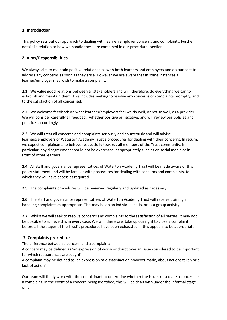## **1. Introduction**

This policy sets out our approach to dealing with learner/employer concerns and complaints. Further details in relation to how we handle these are contained in our procedures section.

### **2. Aims/Responsibilities**

We always aim to maintain positive relationships with both learners and employers and do our best to address any concerns as soon as they arise. However we are aware that in some instances a learner/employer may wish to make a complaint.

**2.1** We value good relations between all stakeholders and will, therefore, do everything we can to establish and maintain them. This includes seeking to resolve any concerns or complaints promptly, and to the satisfaction of all concerned.

**2.2** We welcome feedback on what learners/employers feel we do well, or not so well, as a provider. We will consider carefully all feedback, whether positive or negative, and will review our policies and practices accordingly.

**2.3** We will treat all concerns and complaints seriously and courteously and will advise learners/employers of Waterton Academy Trust's procedures for dealing with their concerns. In return, we expect complainants to behave respectfully towards all members of the Trust community. In particular, any disagreement should not be expressed inappropriately such as on social media or in front of other learners.

**2.4** All staff and governance representatives of Waterton Academy Trust will be made aware of this policy statement and will be familiar with procedures for dealing with concerns and complaints, to which they will have access as required.

**2.5** The complaints procedures will be reviewed regularly and updated as necessary.

**2.6** The staff and governance representatives of Waterton Academy Trust will receive training in handling complaints as appropriate. This may be on an individual basis, or as a group activity.

**2.7** Whilst we will seek to resolve concerns and complaints to the satisfaction of all parties, it may not be possible to achieve this in every case. We will, therefore, take up our right to close a complaint before all the stages of the Trust's procedures have been exhausted, if this appears to be appropriate.

### **3. Complaints procedure**

The difference between a concern and a complaint:

A concern may be defined as 'an expression of worry or doubt over an issue considered to be important for which reassurances are sought'.

A complaint may be defined as 'an expression of dissatisfaction however made, about actions taken or a lack of action'.

Our team will firstly work with the complainant to determine whether the issues raised are a concern or a complaint. In the event of a concern being identified, this will be dealt with under the informal stage only.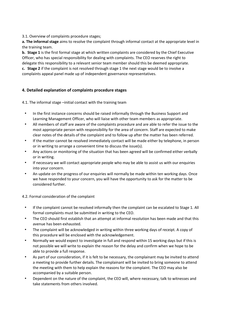3.1. Overview of complaints procedure stages;

**a. The informal stage** aims to resolve the complaint through informal contact at the appropriate level in the training team.

**b. Stage 1** is the first formal stage at which written complaints are considered by the Chief Executive Officer, who has special responsibility for dealing with complaints. The CEO reserves the right to delegate this responsibility to a relevant senior team member should this be deemed appropriate.

**c. Stage 2** if the complaint is not resolved through stage 1 the next stage would be to involve a complaints appeal panel made up of independent governance representatives.

# **4. Detailed explanation of complaints procedure stages**

4.1. The informal stage –initial contact with the training team

- In the first instance concerns should be raised informally through the Business Support and Learning Management Officer, who will liaise with other team members as appropriate.
- All members of staff are aware of the complaints procedure and are able to refer the issue to the most appropriate person with responsibility for the area of concern. Staff are expected to make clear notes of the details of the complaint and to follow up after the matter has been referred.
- If the matter cannot be resolved immediately contact will be made either by telephone, in person or in writing to arrange a convenient time to discuss the issue(s).
- Any actions or monitoring of the situation that has been agreed will be confirmed either verbally or in writing.
- If necessary we will contact appropriate people who may be able to assist us with our enquiries into your concern.
- An update on the progress of our enquiries will normally be made within ten working days. Once we have responded to your concern, you will have the opportunity to ask for the matter to be considered further.

4.2. Formal consideration of the complaint

- If the complaint cannot be resolved informally then the complaint can be escalated to Stage 1. All formal complaints must be submitted in writing to the CEO.
- The CEO should first establish that an attempt at informal resolution has been made and that this avenue has been exhausted.
- The complaint will be acknowledged in writing within three working days of receipt. A copy of this procedure will be enclosed with the acknowledgement.
- Normally we would expect to investigate in full and respond within 15 working days but if this is not possible we will write to explain the reason for the delay and confirm when we hope to be able to provide a full response.
- As part of our consideration, if it is felt to be necessary, the complainant may be invited to attend a meeting to provide further details. The complainant will be invited to bring someone to attend the meeting with them to help explain the reasons for the complaint. The CEO may also be accompanied by a suitable person.
- Dependent on the nature of the complaint, the CEO will, where necessary, talk to witnesses and take statements from others involved.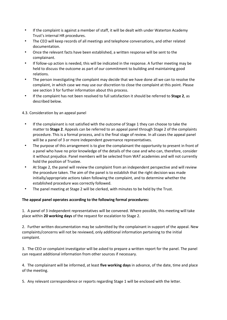- If the complaint is against a member of staff, it will be dealt with under Waterton Academy Trust's internal HR procedures.
- The CEO will keep records of all meetings and telephone conversations, and other related documentation.
- Once the relevant facts have been established, a written response will be sent to the complainant.
- If follow-up action is needed, this will be indicated in the response. A further meeting may be held to discuss the outcome as part of our commitment to building and maintaining good relations.
- The person investigating the complaint may decide that we have done all we can to resolve the complaint, in which case we may use our discretion to close the complaint at this point. Please see section 3 for further information about this process.
- If the complaint has not been resolved to full satisfaction it should be referred to **Stage 2**, as described below.

### 4.3. Consideration by an appeal panel

- If the complainant is not satisfied with the outcome of Stage 1 they can choose to take the matter to **Stage 2**. Appeals can be referred to an appeal panel through Stage 2 of the complaints procedure. This is a formal process, and is the final stage of review. In all cases the appeal panel will be a panel of 3 or more independent governance representatives.
- The purpose of this arrangement is to give the complainant the opportunity to present in front of a panel who have no prior knowledge of the details of the case and who can, therefore, consider it without prejudice. Panel members will be selected from WAT academies and will not currently hold the position of Trustee.
- At Stage 2, the panel will review the complaint from an independent perspective and will review the procedure taken. The aim of the panel is to establish that the right decision was made initially/appropriate actions taken following the complaint, and to determine whether the established procedure was correctly followed.
- The panel meeting at Stage 2 will be clerked, with minutes to be held by the Trust.

# **The appeal panel operates according to the following formal procedures:**

1. A panel of 3 independent representatives will be convened. Where possible, this meeting will take place within **20 working days** of the request for escalation to Stage 2.

2. Further written documentation may be submitted by the complainant in support of the appeal. New complaints/concerns will not be reviewed, only additional information pertaining to the initial complaint.

3. The CEO or complaint investigator will be asked to prepare a written report for the panel. The panel can request additional information from other sources if necessary.

4. The complainant will be informed, at least **five working days** in advance, of the date, time and place of the meeting.

5. Any relevant correspondence or reports regarding Stage 1 will be enclosed with the letter.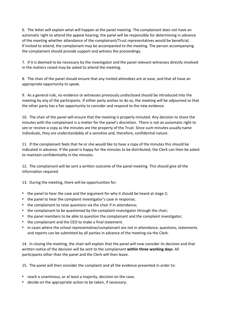6. The letter will explain what will happen at the panel meeting. The complainant does not have an automatic right to attend the appeal hearing; the panel will be responsible for determining in advance of the meeting whether attendance of the complainant/Trust representatives would be beneficial. If invited to attend, the complainant may be accompanied to the meeting. The person accompanying the complainant should provide support and witness the proceedings.

7. If it is deemed to be necessary by the investigator and the panel relevant witnesses directly involved in the matters raised may be asked to attend the meeting.

8. The chair of the panel should ensure that any invited attendees are at ease, and that all have an appropriate opportunity to speak.

9. As a general rule, no evidence or witnesses previously undisclosed should be introduced into the meeting by any of the participants. If either party wishes to do so, the meeting will be adjourned so that the other party has a fair opportunity to consider and respond to the new evidence.

10. The chair of the panel will ensure that the meeting is properly minuted. Any decision to share the minutes with the complainant is a matter for the panel's discretion. There is not an automatic right to see or receive a copy as the minutes are the property of the Trust. Since such minutes usually name individuals, they are understandably of a sensitive and, therefore, confidential nature.

11. If the complainant feels that he or she would like to have a copy of the minutes this should be indicated in advance. If the panel is happy for the minutes to be distributed, the Clerk can then be asked to maintain confidentiality in the minutes.

12. The complainant will be sent a written outcome of the panel meeting. This should give all the information required.

13. During the meeting, there will be opportunities for:

- the panel to hear the case and the argument for why it should be heard at stage 2;
- the panel to hear the complaint investigator's case in response;
- the complainant to raise questions via the chair if in attendance;
- the complainant to be questioned by the complaint investigator through the chair;
- the panel members to be able to question the complainant and the complaint investigator;
- the complainant and the CEO to make a final statement.
- in cases where the school representative/complainant are not in attendance, questions, statements and reports can be submitted by all parties in advance of the meeting via the Clerk.

14. In closing the meeting, the chair will explain that the panel will now consider its decision and that written notice of the decision will be sent to the complainant **within three working days**. All participants other than the panel and the Clerk will then leave.

15. The panel will then consider the complaint and all the evidence presented in order to:

- reach a unanimous, or at least a majority, decision on the case;
- decide on the appropriate action to be taken, if necessary;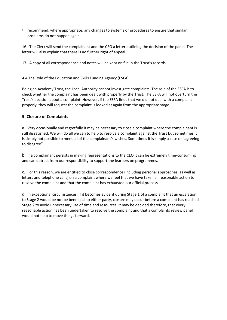• recommend, where appropriate, any changes to systems or procedures to ensure that similar problems do not happen again.

16. The Clerk will send the complainant and the CEO a letter outlining the decision of the panel. The letter will also explain that there is no further right of appeal.

17. A copy of all correspondence and notes will be kept on file in the Trust's records.

#### 4.4 The Role of the Education and Skills Funding Agency (ESFA)

Being an Academy Trust, the Local Authority cannot investigate complaints. The role of the ESFA is to check whether the complaint has been dealt with properly by the Trust. The ESFA will not overturn the Trust's decision about a complaint. However, if the ESFA finds that we did not deal with a complaint properly, they will request the complaint is looked at again from the appropriate stage.

### **5. Closure of Complaints**

a. Very occasionally and regretfully it may be necessary to close a complaint where the complainant is still dissatisfied. We will do all we can to help to resolve a complaint against the Trust but sometimes it is simply not possible to meet all of the complainant's wishes. Sometimes it is simply a case of "agreeing to disagree".

b. If a complainant persists in making representations to the CEO it can be extremely time-consuming and can detract from our responsibility to support the learners on programmes.

c. For this reason, we are entitled to close correspondence (including personal approaches, as well as letters and telephone calls) on a complaint where we feel that we have taken all reasonable action to resolve the complaint and that the complaint has exhausted our official process.

d. In exceptional circumstances, if it becomes evident during Stage 1 of a complaint that an escalation to Stage 2 would be not be beneficial to either party, closure may occur before a complaint has reached Stage 2 to avoid unnecessary use of time and resources. It may be decided therefore, that every reasonable action has been undertaken to resolve the complaint and that a complaints review panel would not help to move things forward.